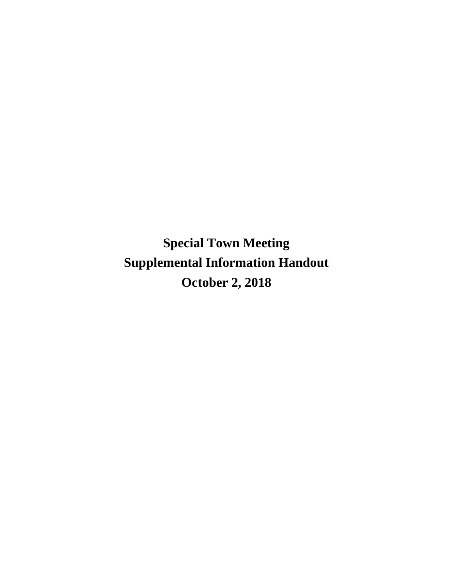**Special Town Meeting Supplemental Information Handout October 2, 2018**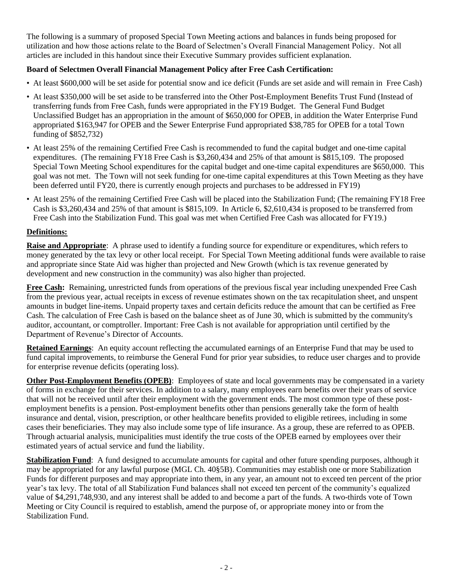The following is a summary of proposed Special Town Meeting actions and balances in funds being proposed for utilization and how those actions relate to the Board of Selectmen's Overall Financial Management Policy. Not all articles are included in this handout since their Executive Summary provides sufficient explanation.

# **Board of Selectmen Overall Financial Management Policy after Free Cash Certification:**

- At least \$600,000 will be set aside for potential snow and ice deficit (Funds are set aside and will remain in Free Cash)
- At least \$350,000 will be set aside to be transferred into the Other Post-Employment Benefits Trust Fund (Instead of transferring funds from Free Cash, funds were appropriated in the FY19 Budget. The General Fund Budget Unclassified Budget has an appropriation in the amount of \$650,000 for OPEB, in addition the Water Enterprise Fund appropriated \$163,947 for OPEB and the Sewer Enterprise Fund appropriated \$38,785 for OPEB for a total Town funding of \$852,732)
- At least 25% of the remaining Certified Free Cash is recommended to fund the capital budget and one-time capital expenditures. (The remaining FY18 Free Cash is \$3,260,434 and 25% of that amount is \$815,109. The proposed Special Town Meeting School expenditures for the capital budget and one-time capital expenditures are \$650,000. This goal was not met. The Town will not seek funding for one-time capital expenditures at this Town Meeting as they have been deferred until FY20, there is currently enough projects and purchases to be addressed in FY19)
- At least 25% of the remaining Certified Free Cash will be placed into the Stabilization Fund; (The remaining FY18 Free Cash is \$3,260,434 and 25% of that amount is \$815,109. In Article 6, \$2,610,434 is proposed to be transferred from Free Cash into the Stabilization Fund. This goal was met when Certified Free Cash was allocated for FY19.)

# **Definitions:**

**Raise and Appropriate**: A phrase used to identify a funding source for expenditure or expenditures, which refers to money generated by the tax levy or other local receipt. For Special Town Meeting additional funds were available to raise and appropriate since State Aid was higher than projected and New Growth (which is tax revenue generated by development and new construction in the community) was also higher than projected.

**Free Cash:** Remaining, unrestricted funds from operations of the previous fiscal year including unexpended Free Cash from the previous year, actual receipts in excess of revenue estimates shown on the tax recapitulation sheet, and unspent amounts in budget line-items. Unpaid property taxes and certain deficits reduce the amount that can be certified as Free Cash. The calculation of Free Cash is based on the balance sheet as of June 30, which is submitted by the community's auditor, accountant, or comptroller. Important: Free Cash is not available for appropriation until certified by the Department of Revenue's Director of Accounts.

**Retained Earnings**: An equity account reflecting the accumulated earnings of an Enterprise Fund that may be used to fund capital improvements, to reimburse the General Fund for prior year subsidies, to reduce user charges and to provide for enterprise revenue deficits (operating loss).

**Other Post-Employment Benefits (OPEB)**: Employees of state and local governments may be compensated in a variety of forms in exchange for their services. In addition to a salary, many employees earn benefits over their years of service that will not be received until after their employment with the government ends. The most common type of these postemployment benefits is a pension. Post-employment benefits other than pensions generally take the form of health insurance and dental, vision, prescription, or other healthcare benefits provided to eligible retirees, including in some cases their beneficiaries. They may also include some type of life insurance. As a group, these are referred to as OPEB. Through actuarial analysis, municipalities must identify the true costs of the OPEB earned by employees over their estimated years of actual service and fund the liability.

**Stabilization Fund**: A fund designed to accumulate amounts for capital and other future spending purposes, although it may be appropriated for any lawful purpose (MGL Ch. 40§5B). Communities may establish one or more Stabilization Funds for different purposes and may appropriate into them, in any year, an amount not to exceed ten percent of the prior year's tax levy. The total of all Stabilization Fund balances shall not exceed ten percent of the community's equalized value of \$4,291,748,930, and any interest shall be added to and become a part of the funds. A two-thirds vote of Town Meeting or City Council is required to establish, amend the purpose of, or appropriate money into or from the Stabilization Fund.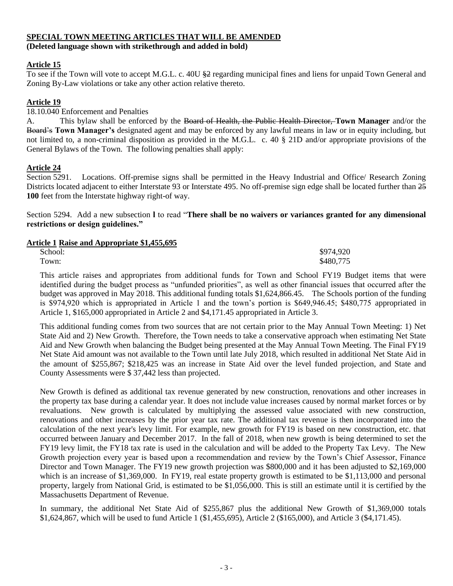# **SPECIAL TOWN MEETING ARTICLES THAT WILL BE AMENDED**

**(Deleted language shown with strikethrough and added in bold)**

# **Article 15**

To see if the Town will vote to accept M.G.L. c. 40U  $\frac{2}{3}$  regarding municipal fines and liens for unpaid Town General and Zoning By-Law violations or take any other action relative thereto.

## **Article 19**

18.10.040 Enforcement and Penalties

A. This bylaw shall be enforced by the Board of Health, the Public Health Director, **Town Manager** and/or the Board's **Town Manager's** designated agent and may be enforced by any lawful means in law or in equity including, but not limited to, a non-criminal disposition as provided in the M.G.L. c. 40 § 21D and/or appropriate provisions of the General Bylaws of the Town. The following penalties shall apply:

**Article 24**<br>Section 5291. Locations. Off-premise signs shall be permitted in the Heavy Industrial and Office/ Research Zoning Districts located adjacent to either Interstate 93 or Interstate 495. No off-premise sign edge shall be located further than  $25$ **100** feet from the Interstate highway right-of way.

Section 5294. Add a new subsection **l** to read "**There shall be no waivers or variances granted for any dimensional restrictions or design guidelines."** 

### **Article 1 Raise and Appropriate \$1,455,695**

| School: | \$974,920 |
|---------|-----------|
| Town:   | \$480,775 |

This article raises and appropriates from additional funds for Town and School FY19 Budget items that were identified during the budget process as "unfunded priorities", as well as other financial issues that occurred after the budget was approved in May 2018. This additional funding totals \$1,624,866.45. The Schools portion of the funding is \$974,920 which is appropriated in Article 1 and the town's portion is \$649,946.45; \$480,775 appropriated in Article 1, \$165,000 appropriated in Article 2 and \$4,171.45 appropriated in Article 3.

This additional funding comes from two sources that are not certain prior to the May Annual Town Meeting: 1) Net State Aid and 2) New Growth. Therefore, the Town needs to take a conservative approach when estimating Net State Aid and New Growth when balancing the Budget being presented at the May Annual Town Meeting. The Final FY19 Net State Aid amount was not available to the Town until late July 2018, which resulted in additional Net State Aid in the amount of \$255,867; \$218,425 was an increase in State Aid over the level funded projection, and State and County Assessments were \$ 37,442 less than projected.

New Growth is defined as additional tax revenue generated by new construction, renovations and other increases in the property tax base during a calendar year. It does not include value increases caused by normal market forces or by revaluations. New growth is calculated by multiplying the assessed value associated with new construction, renovations and other increases by the prior year tax rate. The additional tax revenue is then incorporated into the calculation of the next year's levy limit. For example, new growth for FY19 is based on new construction, etc. that occurred between January and December 2017. In the fall of 2018, when new growth is being determined to set the FY19 levy limit, the FY18 tax rate is used in the calculation and will be added to the Property Tax Levy. The New Growth projection every year is based upon a recommendation and review by the Town's Chief Assessor, Finance Director and Town Manager. The FY19 new growth projection was \$800,000 and it has been adjusted to \$2,169,000 which is an increase of \$1,369,000. In FY19, real estate property growth is estimated to be \$1,113,000 and personal property, largely from National Grid, is estimated to be \$1,056,000. This is still an estimate until it is certified by the Massachusetts Department of Revenue.

In summary, the additional Net State Aid of \$255,867 plus the additional New Growth of \$1,369,000 totals \$1,624,867, which will be used to fund Article 1 (\$1,455,695), Article 2 (\$165,000), and Article 3 (\$4,171.45).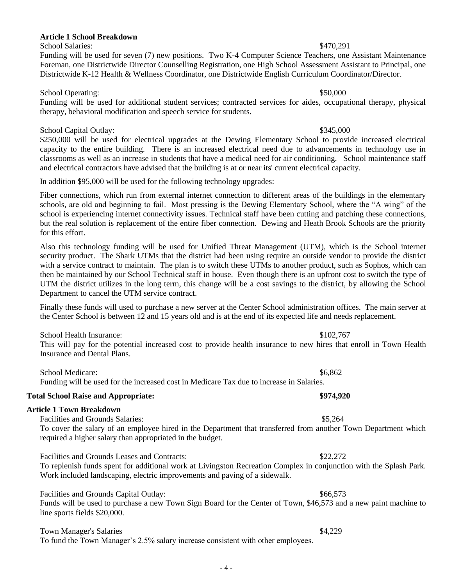# **Article 1 School Breakdown**

### School Salaries:  $\frac{1}{2}$  Salaries:  $\frac{1}{2}$  Salaries:  $\frac{1}{2}$  Salaries:  $\frac{1}{2}$  Salaries:  $\frac{1}{2}$  Salaries:  $\frac{1}{2}$  Salaries:  $\frac{1}{2}$  Salaries:  $\frac{1}{2}$  Salaries:  $\frac{1}{2}$  Salaries:  $\frac{1}{2}$  Salaries:  $\frac{1$

Funding will be used for seven (7) new positions. Two K-4 Computer Science Teachers, one Assistant Maintenance Foreman, one Districtwide Director Counselling Registration, one High School Assessment Assistant to Principal, one Districtwide K-12 Health & Wellness Coordinator, one Districtwide English Curriculum Coordinator/Director.

### School Operating: \$50,000

Funding will be used for additional student services; contracted services for aides, occupational therapy, physical therapy, behavioral modification and speech service for students.

## School Capital Outlay:  $$345,000$

\$250,000 will be used for electrical upgrades at the Dewing Elementary School to provide increased electrical capacity to the entire building. There is an increased electrical need due to advancements in technology use in classrooms as well as an increase in students that have a medical need for air conditioning. School maintenance staff and electrical contractors have advised that the building is at or near its' current electrical capacity.

In addition \$95,000 will be used for the following technology upgrades:

Fiber connections, which run from external internet connection to different areas of the buildings in the elementary schools, are old and beginning to fail. Most pressing is the Dewing Elementary School, where the "A wing" of the school is experiencing internet connectivity issues. Technical staff have been cutting and patching these connections, but the real solution is replacement of the entire fiber connection. Dewing and Heath Brook Schools are the priority for this effort.

Also this technology funding will be used for Unified Threat Management (UTM), which is the School internet security product. The Shark UTMs that the district had been using require an outside vendor to provide the district with a service contract to maintain. The plan is to switch these UTMs to another product, such as Sophos, which can then be maintained by our School Technical staff in house. Even though there is an upfront cost to switch the type of UTM the district utilizes in the long term, this change will be a cost savings to the district, by allowing the School Department to cancel the UTM service contract.

Finally these funds will used to purchase a new server at the Center School administration offices. The main server at the Center School is between 12 and 15 years old and is at the end of its expected life and needs replacement.

School Health Insurance:  $$102.767$ 

This will pay for the potential increased cost to provide health insurance to new hires that enroll in Town Health Insurance and Dental Plans.

School Medicare:  $$6.862$ Funding will be used for the increased cost in Medicare Tax due to increase in Salaries.

# **Total School Raise and Appropriate: \$974,920**

### **Article 1 Town Breakdown**

Facilities and Grounds Salaries:  $$5,264$ 

To cover the salary of an employee hired in the Department that transferred from another Town Department which required a higher salary than appropriated in the budget.

Facilities and Grounds Leases and Contracts:  $$22,272$ 

To replenish funds spent for additional work at Livingston Recreation Complex in conjunction with the Splash Park. Work included landscaping, electric improvements and paving of a sidewalk.

Facilities and Grounds Capital Outlay:  $$66,573$ 

Funds will be used to purchase a new Town Sign Board for the Center of Town, \$46,573 and a new paint machine to line sports fields \$20,000.

# Town Manager's Salaries  $\frac{1}{2}$  Salaries  $\frac{1}{2}$  Salaries  $\frac{1}{2}$  Salaries  $\frac{1}{2}$  Salaries  $\frac{1}{2}$  Salaries  $\frac{1}{2}$  Salaries  $\frac{1}{2}$  Salaries  $\frac{1}{2}$  Salaries  $\frac{1}{2}$  Salaries  $\frac{1}{2}$  Salaries  $\frac{1}{2}$

To fund the Town Manager's 2.5% salary increase consistent with other employees.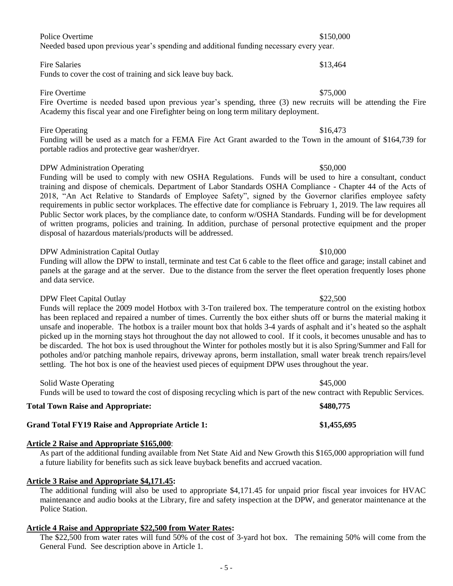## Police Overtime  $$150,000$

Needed based upon previous year's spending and additional funding necessary every year.

### Fire Salaries  $$13.464$

Funds to cover the cost of training and sick leave buy back.

### Fire Overtime  $$75,000$

Fire Overtime is needed based upon previous year's spending, three (3) new recruits will be attending the Fire Academy this fiscal year and one Firefighter being on long term military deployment.

### Fire Operating \$16,473

Funding will be used as a match for a FEMA Fire Act Grant awarded to the Town in the amount of \$164,739 for portable radios and protective gear washer/dryer.

### DPW Administration Operating  $$50,000$

Funding will be used to comply with new OSHA Regulations. Funds will be used to hire a consultant, conduct training and dispose of chemicals. Department of Labor Standards OSHA Compliance - Chapter 44 of the Acts of 2018, "An Act Relative to Standards of Employee Safety", signed by the Governor clarifies employee safety requirements in public sector workplaces. The effective date for compliance is February 1, 2019. The law requires all Public Sector work places, by the compliance date, to conform w/OSHA Standards. Funding will be for development of written programs, policies and training. In addition, purchase of personal protective equipment and the proper disposal of hazardous materials/products will be addressed.

### DPW Administration Capital Outlay \$10,000

Funding will allow the DPW to install, terminate and test Cat 6 cable to the fleet office and garage; install cabinet and panels at the garage and at the server. Due to the distance from the server the fleet operation frequently loses phone and data service.

### DPW Fleet Capital Outlay  $$22.500$

Funds will replace the 2009 model Hotbox with 3-Ton trailered box. The temperature control on the existing hotbox has been replaced and repaired a number of times. Currently the box either shuts off or burns the material making it unsafe and inoperable. The hotbox is a trailer mount box that holds 3-4 yards of asphalt and it's heated so the asphalt picked up in the morning stays hot throughout the day not allowed to cool. If it cools, it becomes unusable and has to be discarded. The hot box is used throughout the Winter for potholes mostly but it is also Spring/Summer and Fall for potholes and/or patching manhole repairs, driveway aprons, berm installation, small water break trench repairs/level settling. The hot box is one of the heaviest used pieces of equipment DPW uses throughout the year.

Solid Waste Operating \$45,000 Funds will be used to toward the cost of disposing recycling which is part of the new contract with Republic Services.

### **Total Town Raise and Appropriate: \$480,775**

### **Grand Total FY19 Raise and Appropriate Article 1: \$1,455,695**

### **Article 2 Raise and Appropriate \$165,000**:

As part of the additional funding available from Net State Aid and New Growth this \$165,000 appropriation will fund a future liability for benefits such as sick leave buyback benefits and accrued vacation.

### **Article 3 Raise and Appropriate \$4,171.45:**

The additional funding will also be used to appropriate \$4,171.45 for unpaid prior fiscal year invoices for HVAC maintenance and audio books at the Library, fire and safety inspection at the DPW, and generator maintenance at the Police Station.

### **Article 4 Raise and Appropriate \$22,500 from Water Rates:**

The \$22,500 from water rates will fund 50% of the cost of 3-yard hot box. The remaining 50% will come from the General Fund. See description above in Article 1.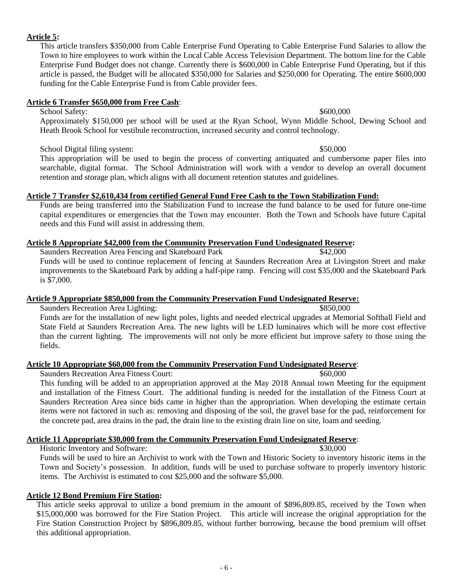# **Article 5:**

This article transfers \$350,000 from Cable Enterprise Fund Operating to Cable Enterprise Fund Salaries to allow the Town to hire employees to work within the Local Cable Access Television Department. The bottom line for the Cable Enterprise Fund Budget does not change. Currently there is \$600,000 in Cable Enterprise Fund Operating, but if this article is passed, the Budget will be allocated \$350,000 for Salaries and \$250,000 for Operating. The entire \$600,000 funding for the Cable Enterprise Fund is from Cable provider fees.

## **Article 6 Transfer \$650,000 from Free Cash**:

School Safety:  $\frac{$600,000}{2}$ 

Approximately \$150,000 per school will be used at the Ryan School, Wynn Middle School, Dewing School and Heath Brook School for vestibule reconstruction, increased security and control technology.

# School Digital filing system:  $$50,000$

This appropriation will be used to begin the process of converting antiquated and cumbersome paper files into searchable, digital format. The School Administration will work with a vendor to develop an overall document retention and storage plan, which aligns with all document retention statutes and guidelines.

## **Article 7 Transfer \$2,610,434 from certified General Fund Free Cash to the Town Stabilization Fund:**

Funds are being transferred into the Stabilization Fund to increase the fund balance to be used for future one-time capital expenditures or emergencies that the Town may encounter. Both the Town and Schools have future Capital needs and this Fund will assist in addressing them.

## **Article 8 Appropriate \$42,000 from the Community Preservation Fund Undesignated Reserve:**

Saunders Recreation Area Fencing and Skateboard Park \$42,000 Funds will be used to continue replacement of fencing at Saunders Recreation Area at Livingston Street and make improvements to the Skateboard Park by adding a half-pipe ramp. Fencing will cost \$35,000 and the Skateboard Park is \$7,000.

### **Article 9 Appropriate \$850,000 from the Community Preservation Fund Undesignated Reserve:**

Saunders Recreation Area Lighting:  $$850,000$ 

Funds are for the installation of new light poles, lights and needed electrical upgrades at Memorial Softball Field and State Field at Saunders Recreation Area. The new lights will be LED luminaires which will be more cost effective than the current lighting. The improvements will not only be more efficient but improve safety to those using the fields.

## **Article 10 Appropriate \$60,000 from the Community Preservation Fund Undesignated Reserve**:

Saunders Recreation Area Fitness Court: \$60,000

This funding will be added to an appropriation approved at the May 2018 Annual town Meeting for the equipment and installation of the Fitness Court. The additional funding is needed for the installation of the Fitness Court at Saunders Recreation Area since bids came in higher than the appropriation. When developing the estimate certain items were not factored in such as: removing and disposing of the soil, the gravel base for the pad, reinforcement for the concrete pad, area drains in the pad, the drain line to the existing drain line on site, loam and seeding.

# **Article 11 Appropriate \$30,000 from the Community Preservation Fund Undesignated Reserve**:

Historic Inventory and Software: \$30,000 Funds will be used to hire an Archivist to work with the Town and Historic Society to inventory historic items in the Town and Society's possession. In addition, funds will be used to purchase software to properly inventory historic items. The Archivist is estimated to cost \$25,000 and the software \$5,000.

### **Article 12 Bond Premium Fire Station:**

This article seeks approval to utilize a bond premium in the amount of \$896,809.85, received by the Town when \$15,000,000 was borrowed for the Fire Station Project. This article will increase the original appropriation for the Fire Station Construction Project by \$896,809.85, without further borrowing, because the bond premium will offset this additional appropriation.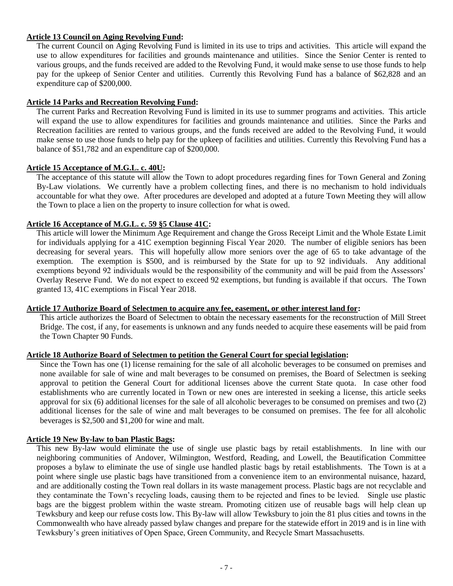## **Article 13 Council on Aging Revolving Fund:**

The current Council on Aging Revolving Fund is limited in its use to trips and activities. This article will expand the use to allow expenditures for facilities and grounds maintenance and utilities. Since the Senior Center is rented to various groups, and the funds received are added to the Revolving Fund, it would make sense to use those funds to help pay for the upkeep of Senior Center and utilities. Currently this Revolving Fund has a balance of \$62,828 and an expenditure cap of \$200,000.

### **Article 14 Parks and Recreation Revolving Fund:**

The current Parks and Recreation Revolving Fund is limited in its use to summer programs and activities. This article will expand the use to allow expenditures for facilities and grounds maintenance and utilities. Since the Parks and Recreation facilities are rented to various groups, and the funds received are added to the Revolving Fund, it would make sense to use those funds to help pay for the upkeep of facilities and utilities. Currently this Revolving Fund has a balance of \$51,782 and an expenditure cap of \$200,000.

### **Article 15 Acceptance of M.G.L. c. 40U:**

The acceptance of this statute will allow the Town to adopt procedures regarding fines for Town General and Zoning By-Law violations. We currently have a problem collecting fines, and there is no mechanism to hold individuals accountable for what they owe. After procedures are developed and adopted at a future Town Meeting they will allow the Town to place a lien on the property to insure collection for what is owed.

## **Article 16 Acceptance of M.G.L. c. 59 §5 Clause 41C:**

This article will lower the Minimum Age Requirement and change the Gross Receipt Limit and the Whole Estate Limit for individuals applying for a 41C exemption beginning Fiscal Year 2020. The number of eligible seniors has been decreasing for several years. This will hopefully allow more seniors over the age of 65 to take advantage of the exemption. The exemption is \$500, and is reimbursed by the State for up to 92 individuals. Any additional exemptions beyond 92 individuals would be the responsibility of the community and will be paid from the Assessors' Overlay Reserve Fund. We do not expect to exceed 92 exemptions, but funding is available if that occurs. The Town granted 13, 41C exemptions in Fiscal Year 2018.

### **Article 17 Authorize Board of Selectmen to acquire any fee, easement, or other interest land for:**

This article authorizes the Board of Selectmen to obtain the necessary easements for the reconstruction of Mill Street Bridge. The cost, if any, for easements is unknown and any funds needed to acquire these easements will be paid from the Town Chapter 90 Funds.

### **Article 18 Authorize Board of Selectmen to petition the General Court for special legislation:**

Since the Town has one (1) license remaining for the sale of all alcoholic beverages to be consumed on premises and none available for sale of wine and malt beverages to be consumed on premises, the Board of Selectmen is seeking approval to petition the General Court for additional licenses above the current State quota. In case other food establishments who are currently located in Town or new ones are interested in seeking a license, this article seeks approval for six (6) additional licenses for the sale of all alcoholic beverages to be consumed on premises and two (2) additional licenses for the sale of wine and malt beverages to be consumed on premises. The fee for all alcoholic beverages is \$2,500 and \$1,200 for wine and malt.

## **Article 19 New By-law to ban Plastic Bags:**

This new By-law would eliminate the use of single use plastic bags by retail establishments. In line with our neighboring communities of Andover, Wilmington, Westford, Reading, and Lowell, the Beautification Committee proposes a bylaw to eliminate the use of single use handled plastic bags by retail establishments. The Town is at a point where single use plastic bags have transitioned from a convenience item to an environmental nuisance, hazard, and are additionally costing the Town real dollars in its waste management process. Plastic bags are not recyclable and they contaminate the Town's recycling loads, causing them to be rejected and fines to be levied. Single use plastic bags are the biggest problem within the waste stream. Promoting citizen use of reusable bags will help clean up Tewksbury and keep our refuse costs low. This By-law will allow Tewksbury to join the 81 plus cities and towns in the Commonwealth who have already passed bylaw changes and prepare for the statewide effort in 2019 and is in line with Tewksbury's green initiatives of Open Space, Green Community, and Recycle Smart Massachusetts.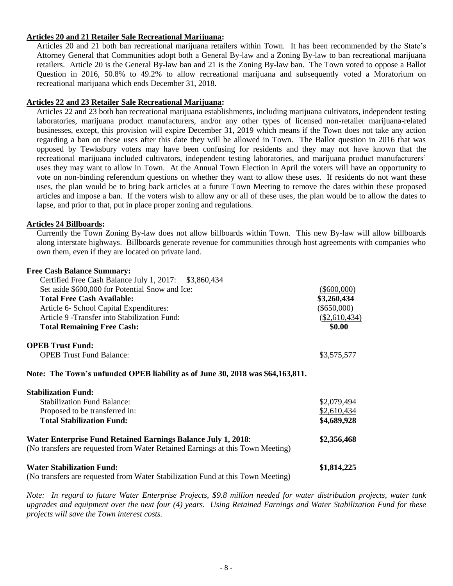### **Articles 20 and 21 Retailer Sale Recreational Marijuana:**

Articles 20 and 21 both ban recreational marijuana retailers within Town. It has been recommended by the State's Attorney General that Communities adopt both a General By-law and a Zoning By-law to ban recreational marijuana retailers. Article 20 is the General By-law ban and 21 is the Zoning By-law ban. The Town voted to oppose a Ballot Question in 2016, 50.8% to 49.2% to allow recreational marijuana and subsequently voted a Moratorium on recreational marijuana which ends December 31, 2018.

### **Articles 22 and 23 Retailer Sale Recreational Marijuana:**

Articles 22 and 23 both ban recreational marijuana establishments, including marijuana cultivators, independent testing laboratories, marijuana product manufacturers, and/or any other types of licensed non-retailer marijuana-related businesses, except, this provision will expire December 31, 2019 which means if the Town does not take any action regarding a ban on these uses after this date they will be allowed in Town. The Ballot question in 2016 that was opposed by Tewksbury voters may have been confusing for residents and they may not have known that the recreational marijuana included cultivators, independent testing laboratories, and marijuana product manufacturers' uses they may want to allow in Town. At the Annual Town Election in April the voters will have an opportunity to vote on non-binding referendum questions on whether they want to allow these uses. If residents do not want these uses, the plan would be to bring back articles at a future Town Meeting to remove the dates within these proposed articles and impose a ban. If the voters wish to allow any or all of these uses, the plan would be to allow the dates to lapse, and prior to that, put in place proper zoning and regulations.

### **Articles 24 Billboards:**

Currently the Town Zoning By-law does not allow billboards within Town. This new By-law will allow billboards along interstate highways. Billboards generate revenue for communities through host agreements with companies who own them, even if they are located on private land.

### **Free Cash Balance Summary:**

| Certified Free Cash Balance July 1, 2017: \$3,860,434                           |                            |
|---------------------------------------------------------------------------------|----------------------------|
| Set aside \$600,000 for Potential Snow and Ice:                                 | $(\$600,000)$              |
| Total Free Cash Available:                                                      | \$3,260,434                |
| Article 6- School Capital Expenditures:                                         | $(\$650,000)$              |
| Article 9 - Transfer into Stabilization Fund:                                   | $(\underline{$2,610,434})$ |
| <b>Total Remaining Free Cash:</b>                                               | \$0.00                     |
| <b>OPEB Trust Fund:</b>                                                         |                            |
| <b>OPEB Trust Fund Balance:</b>                                                 | \$3,575,577                |
| Note: The Town's unfunded OPEB liability as of June 30, 2018 was \$64,163,811.  |                            |
| <b>Stabilization Fund:</b>                                                      |                            |
| <b>Stabilization Fund Balance:</b>                                              | \$2,079,494                |
| Proposed to be transferred in:                                                  | \$2,610,434                |
| <b>Total Stabilization Fund:</b>                                                | \$4,689,928                |
| <b>Water Enterprise Fund Retained Earnings Balance July 1, 2018:</b>            | \$2,356,468                |
| (No transfers are requested from Water Retained Earnings at this Town Meeting)  |                            |
| <b>Water Stabilization Fund:</b>                                                | \$1,814,225                |
| (No transfers are requested from Water Stabilization Fund at this Town Meeting) |                            |

*Note: In regard to future Water Enterprise Projects, \$9.8 million needed for water distribution projects, water tank upgrades and equipment over the next four (4) years. Using Retained Earnings and Water Stabilization Fund for these projects will save the Town interest costs.*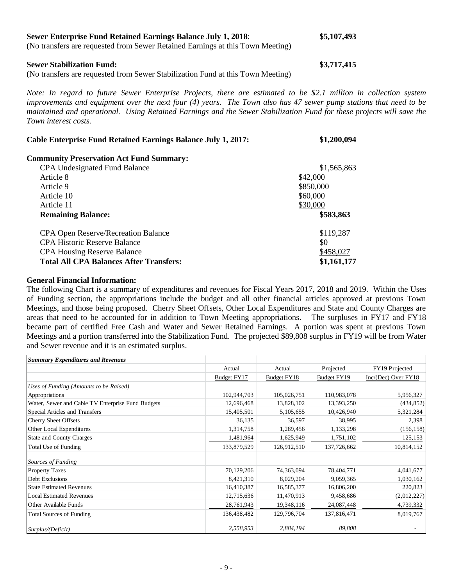# **Sewer Enterprise Fund Retained Earnings Balance July 1, 2018**: **\$5,107,493**

(No transfers are requested from Sewer Retained Earnings at this Town Meeting)

### **Sewer Stabilization Fund:**  $$3,717,415$

### (No transfers are requested from Sewer Stabilization Fund at this Town Meeting)

*Note: In regard to future Sewer Enterprise Projects, there are estimated to be \$2.1 million in collection system improvements and equipment over the next four (4) years. The Town also has 47 sewer pump stations that need to be maintained and operational. Using Retained Earnings and the Sewer Stabilization Fund for these projects will save the Town interest costs.*

| <b>Cable Enterprise Fund Retained Earnings Balance July 1, 2017:</b> | \$1,200,094 |
|----------------------------------------------------------------------|-------------|
| <b>Community Preservation Act Fund Summary:</b>                      |             |
| <b>CPA Undesignated Fund Balance</b>                                 | \$1,565,863 |
| Article 8                                                            | \$42,000    |
| Article 9                                                            | \$850,000   |
| Article 10                                                           | \$60,000    |
| Article 11                                                           | \$30,000    |
| <b>Remaining Balance:</b>                                            | \$583,863   |
| <b>CPA Open Reserve/Recreation Balance</b>                           | \$119,287   |
| <b>CPA Historic Reserve Balance</b>                                  | \$0         |
| <b>CPA Housing Reserve Balance</b>                                   | \$458,027   |
| <b>Total All CPA Balances After Transfers:</b>                       | \$1,161,177 |

### **General Financial Information:**

The following Chart is a summary of expenditures and revenues for Fiscal Years 2017, 2018 and 2019. Within the Uses of Funding section, the appropriations include the budget and all other financial articles approved at previous Town Meetings, and those being proposed. Cherry Sheet Offsets, Other Local Expenditures and State and County Charges are areas that need to be accounted for in addition to Town Meeting appropriations. The surpluses in FY17 and FY18 became part of certified Free Cash and Water and Sewer Retained Earnings. A portion was spent at previous Town Meetings and a portion transferred into the Stabilization Fund. The projected \$89,808 surplus in FY19 will be from Water and Sewer revenue and it is an estimated surplus.

| <b>Summary Expenditures and Revenues</b>          |             |             |                    |                         |
|---------------------------------------------------|-------------|-------------|--------------------|-------------------------|
|                                                   | Actual      | Actual      | Projected          | FY19 Projected          |
|                                                   | Budget FY17 | Budget FY18 | <b>Budget FY19</b> | $Inc/(Dec)$ Over $FY18$ |
| Uses of Funding (Amounts to be Raised)            |             |             |                    |                         |
| Appropriations                                    | 102,944,703 | 105,026,751 | 110,983,078        | 5,956,327               |
| Water, Sewer and Cable TV Enterprise Fund Budgets | 12,696,468  | 13,828,102  | 13,393,250         | (434, 852)              |
| Special Articles and Transfers                    | 15,405,501  | 5,105,655   | 10,426,940         | 5,321,284               |
| <b>Cherry Sheet Offsets</b>                       | 36,135      | 36,597      | 38,995             | 2,398                   |
| Other Local Expenditures                          | 1,314,758   | 1,289,456   | 1,133,298          | (156, 158)              |
| <b>State and County Charges</b>                   | 1,481,964   | 1,625,949   | 1,751,102          | 125,153                 |
| Total Use of Funding                              | 133,879,529 | 126,912,510 | 137,726,662        | 10,814,152              |
| Sources of Funding                                |             |             |                    |                         |
| <b>Property Taxes</b>                             | 70,129,206  | 74,363,094  | 78,404,771         | 4,041,677               |
| Debt Exclusions                                   | 8,421,310   | 8,029,204   | 9,059,365          | 1,030,162               |
| <b>State Estimated Revenues</b>                   | 16,410,387  | 16,585,377  | 16,806,200         | 220,823                 |
| <b>Local Estimated Revenues</b>                   | 12,715,636  | 11,470,913  | 9,458,686          | (2,012,227)             |
| Other Available Funds                             | 28,761,943  | 19,348,116  | 24,087,448         | 4,739,332               |
| <b>Total Sources of Funding</b>                   | 136,438,482 | 129,796,704 | 137,816,471        | 8,019,767               |
| Surplus/(Deficit)                                 | 2,558,953   | 2,884,194   | 89,808             |                         |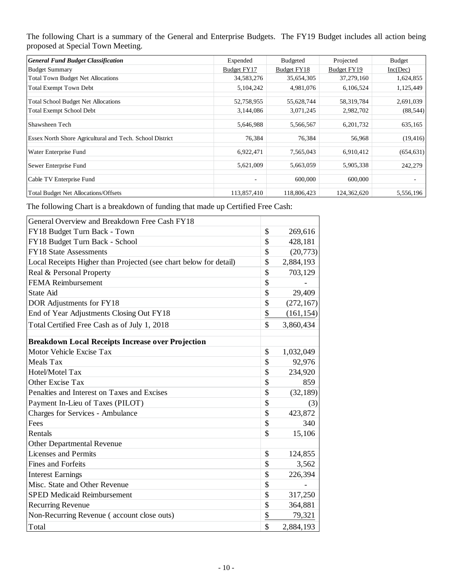The following Chart is a summary of the General and Enterprise Budgets. The FY19 Budget includes all action being proposed at Special Town Meeting.

| <b>General Fund Budget Classification</b>                       | Expended     | <b>Budgeted</b> | Projected   | <b>Budget</b> |
|-----------------------------------------------------------------|--------------|-----------------|-------------|---------------|
| <b>Budget Summary</b>                                           | Budget FY17  | Budget FY18     | Budget FY19 | Inc(Dec)      |
| <b>Total Town Budget Net Allocations</b>                        | 34, 583, 276 | 35,654,305      | 37,279,160  | 1,624,855     |
| <b>Total Exempt Town Debt</b>                                   | 5,104,242    | 4,981,076       | 6,106,524   | 1,125,449     |
| <b>Total School Budget Net Allocations</b>                      | 52,758,955   | 55,628,744      | 58,319,784  | 2,691,039     |
| <b>Total Exempt School Debt</b>                                 | 3,144,086    | 3,071,245       | 2,982,702   | (88, 544)     |
| Shawsheen Tech                                                  | 5,646,988    | 5,566,567       | 6,201,732   | 635,165       |
| <b>Essex North Shore Agricultural and Tech. School District</b> | 76,384       | 76,384          | 56,968      | (19, 416)     |
| Water Enterprise Fund                                           | 6,922,471    | 7,565,043       | 6,910,412   | (654, 631)    |
| Sewer Enterprise Fund                                           | 5,621,009    | 5,663,059       | 5,905,338   | 242,279       |
| Cable TV Enterprise Fund                                        |              | 600,000         | 600,000     |               |
| Total Budget Net Allocations/Offsets                            | 113,857,410  | 118,806,423     | 124,362,620 | 5,556,196     |

The following Chart is a breakdown of funding that made up Certified Free Cash:

| General Overview and Breakdown Free Cash FY18                     |                  |
|-------------------------------------------------------------------|------------------|
| FY18 Budget Turn Back - Town                                      | \$<br>269,616    |
| FY18 Budget Turn Back - School                                    | \$<br>428,181    |
| <b>FY18 State Assessments</b>                                     | \$<br>(20, 773)  |
| Local Receipts Higher than Projected (see chart below for detail) | \$<br>2,884,193  |
| Real & Personal Property                                          | \$<br>703,129    |
| <b>FEMA Reimbursement</b>                                         | \$               |
| <b>State Aid</b>                                                  | \$<br>29,409     |
| DOR Adjustments for FY18                                          | \$<br>(272, 167) |
| End of Year Adjustments Closing Out FY18                          | \$<br>(161, 154) |
| Total Certified Free Cash as of July 1, 2018                      | \$<br>3,860,434  |
| <b>Breakdown Local Receipts Increase over Projection</b>          |                  |
| Motor Vehicle Excise Tax                                          | \$<br>1,032,049  |
| Meals Tax                                                         | \$<br>92,976     |
| Hotel/Motel Tax                                                   | \$<br>234,920    |
| Other Excise Tax                                                  | \$<br>859        |
| Penalties and Interest on Taxes and Excises                       | \$<br>(32, 189)  |
| Payment In-Lieu of Taxes (PILOT)                                  | \$<br>(3)        |
| <b>Charges for Services - Ambulance</b>                           | \$<br>423,872    |
| Fees                                                              | \$<br>340        |
| Rentals                                                           | \$<br>15,106     |
| Other Departmental Revenue                                        |                  |
| <b>Licenses and Permits</b>                                       | \$<br>124,855    |
| <b>Fines and Forfeits</b>                                         | \$<br>3,562      |
| <b>Interest Earnings</b>                                          | \$<br>226,394    |
| Misc. State and Other Revenue                                     | \$               |
| <b>SPED Medicaid Reimbursement</b>                                | \$<br>317,250    |
| <b>Recurring Revenue</b>                                          | \$<br>364,881    |
| Non-Recurring Revenue (account close outs)                        | \$<br>79,321     |
| Total                                                             | \$<br>2,884,193  |